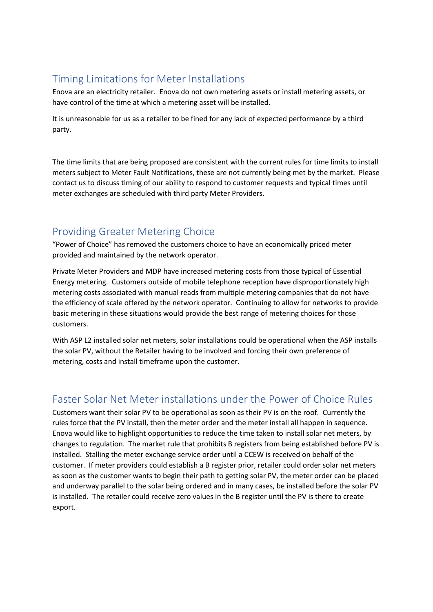## Timing Limitations for Meter Installations

Enova are an electricity retailer. Enova do not own metering assets or install metering assets, or have control of the time at which a metering asset will be installed.

It is unreasonable for us as a retailer to be fined for any lack of expected performance by a third party.

The time limits that are being proposed are consistent with the current rules for time limits to install meters subject to Meter Fault Notifications, these are not currently being met by the market. Please contact us to discuss timing of our ability to respond to customer requests and typical times until meter exchanges are scheduled with third party Meter Providers.

## Providing Greater Metering Choice

"Power of Choice" has removed the customers choice to have an economically priced meter provided and maintained by the network operator.

Private Meter Providers and MDP have increased metering costs from those typical of Essential Energy metering. Customers outside of mobile telephone reception have disproportionately high metering costs associated with manual reads from multiple metering companies that do not have the efficiency of scale offered by the network operator. Continuing to allow for networks to provide basic metering in these situations would provide the best range of metering choices for those customers.

With ASP L2 installed solar net meters, solar installations could be operational when the ASP installs the solar PV, without the Retailer having to be involved and forcing their own preference of metering, costs and install timeframe upon the customer.

## Faster Solar Net Meter installations under the Power of Choice Rules

Customers want their solar PV to be operational as soon as their PV is on the roof. Currently the rules force that the PV install, then the meter order and the meter install all happen in sequence. Enova would like to highlight opportunities to reduce the time taken to install solar net meters, by changes to regulation. The market rule that prohibits B registers from being established before PV is installed. Stalling the meter exchange service order until a CCEW is received on behalf of the customer. If meter providers could establish a B register prior, retailer could order solar net meters as soon as the customer wants to begin their path to getting solar PV, the meter order can be placed and underway parallel to the solar being ordered and in many cases, be installed before the solar PV is installed. The retailer could receive zero values in the B register until the PV is there to create export.